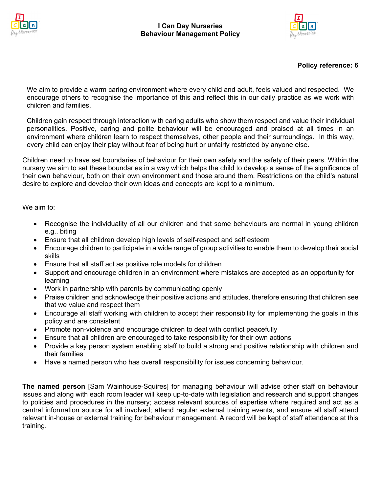



# **Policy reference: 6**

We aim to provide a warm caring environment where every child and adult, feels valued and respected. We encourage others to recognise the importance of this and reflect this in our daily practice as we work with children and families.

Children gain respect through interaction with caring adults who show them respect and value their individual personalities. Positive, caring and polite behaviour will be encouraged and praised at all times in an environment where children learn to respect themselves, other people and their surroundings. In this way, every child can enjoy their play without fear of being hurt or unfairly restricted by anyone else.

Children need to have set boundaries of behaviour for their own safety and the safety of their peers. Within the nursery we aim to set these boundaries in a way which helps the child to develop a sense of the significance of their own behaviour, both on their own environment and those around them. Restrictions on the child's natural desire to explore and develop their own ideas and concepts are kept to a minimum.

We aim to:

- Recognise the individuality of all our children and that some behaviours are normal in young children e.g., biting
- Ensure that all children develop high levels of self-respect and self esteem
- Encourage children to participate in a wide range of group activities to enable them to develop their social skills
- Ensure that all staff act as positive role models for children
- Support and encourage children in an environment where mistakes are accepted as an opportunity for learning
- Work in partnership with parents by communicating openly
- Praise children and acknowledge their positive actions and attitudes, therefore ensuring that children see that we value and respect them
- Encourage all staff working with children to accept their responsibility for implementing the goals in this policy and are consistent
- Promote non-violence and encourage children to deal with conflict peacefully
- Ensure that all children are encouraged to take responsibility for their own actions
- Provide a key person system enabling staff to build a strong and positive relationship with children and their families
- Have a named person who has overall responsibility for issues concerning behaviour.

**The named person** [Sam Wainhouse-Squires] for managing behaviour will advise other staff on behaviour issues and along with each room leader will keep up-to-date with legislation and research and support changes to policies and procedures in the nursery; access relevant sources of expertise where required and act as a central information source for all involved; attend regular external training events, and ensure all staff attend relevant in-house or external training for behaviour management. A record will be kept of staff attendance at this training.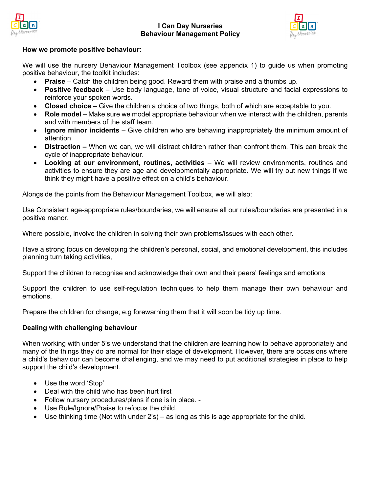

# **I Can Day Nurseries Behaviour Management Policy**



### **How we promote positive behaviour:**

We will use the nursery Behaviour Management Toolbox (see appendix 1) to guide us when promoting positive behaviour, the toolkit includes:

- **Praise** Catch the children being good. Reward them with praise and a thumbs up.
- **Positive feedback** Use body language, tone of voice, visual structure and facial expressions to reinforce your spoken words.
- **Closed choice** Give the children a choice of two things, both of which are acceptable to you.
- **Role model** Make sure we model appropriate behaviour when we interact with the children, parents and with members of the staff team.
- **Ignore minor incidents** Give children who are behaving inappropriately the minimum amount of attention
- **Distraction –** When we can, we will distract children rather than confront them. This can break the cycle of inappropriate behaviour.
- **Looking at our environment, routines, activities** We will review environments, routines and activities to ensure they are age and developmentally appropriate. We will try out new things if we think they might have a positive effect on a child's behaviour.

Alongside the points from the Behaviour Management Toolbox, we will also:

Use Consistent age-appropriate rules/boundaries, we will ensure all our rules/boundaries are presented in a positive manor.

Where possible, involve the children in solving their own problems/issues with each other.

Have a strong focus on developing the children's personal, social, and emotional development, this includes planning turn taking activities,

Support the children to recognise and acknowledge their own and their peers' feelings and emotions

Support the children to use self-regulation techniques to help them manage their own behaviour and emotions.

Prepare the children for change, e.g forewarning them that it will soon be tidy up time.

## **Dealing with challenging behaviour**

When working with under 5's we understand that the children are learning how to behave appropriately and many of the things they do are normal for their stage of development. However, there are occasions where a child's behaviour can become challenging, and we may need to put additional strategies in place to help support the child's development.

- Use the word 'Stop'
- Deal with the child who has been hurt first
- Follow nursery procedures/plans if one is in place. -
- Use Rule/Ignore/Praise to refocus the child.
- Use thinking time (Not with under  $2's$ ) as long as this is age appropriate for the child.